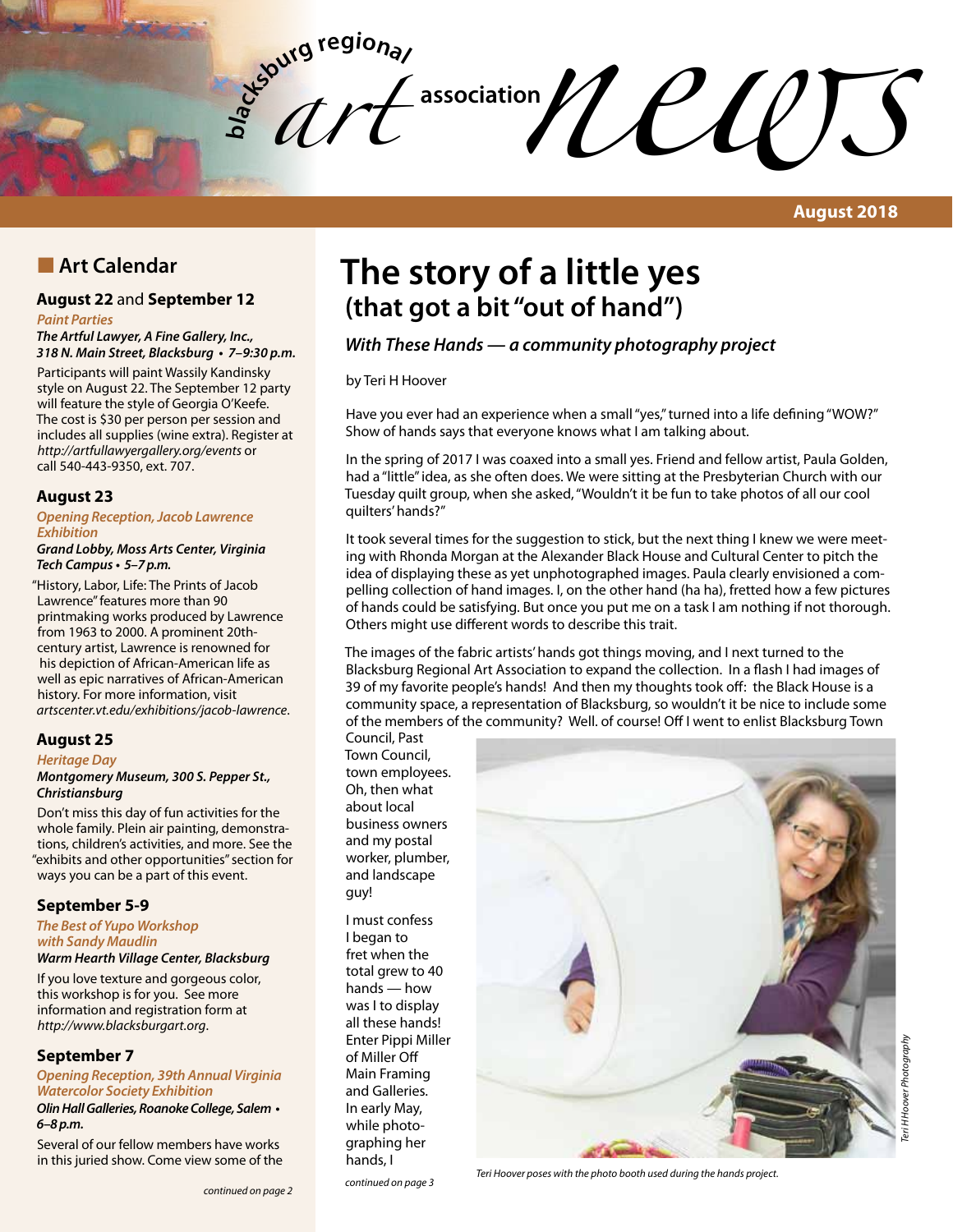**bla** *art*   $\mathcal{U}$  **CUUS** 

**August 2018**

# **n** Art Calendar

### **August 22** and **September 12**

#### *Paint Parties*

*The Artful Lawyer, A Fine Gallery, Inc.,*  **318 N. Main Street, Blacksburg • 7–9:30 p.m.**

Participants will paint Wassily Kandinsky style on August 22. The September 12 party will feature the style of Georgia O'Keefe. The cost is \$30 per person per session and includes all supplies (wine extra). Register at *http://artfullawyergallery.org/events* or call 540-443-9350, ext. 707.

#### **August 23**

#### **Opening Reception, Jacob Lawrence Exhibition**

**Grand Lobby, Moss Arts Center, Virginia Tech Campus • 5–7 p.m.**

"History, Labor, Life: The Prints of Jacob Lawrence" features more than 90 printmaking works produced by Lawrence from 1963 to 2000. A prominent 20thcentury artist, Lawrence is renowned for his depiction of African-American life as well as epic narratives of African-American history. For more information, visit *artscenter.vt.edu/exhibitions/jacob-lawrence*.

#### **August 25**

#### *Heritage Day*

#### **Montgomery Museum, 300 S. Pepper St., Christiansburg**

Don't miss this day of fun activities for the whole family. Plein air painting, demonstrations, children's activities, and more. See the "exhibits and other opportunities" section for ways you can be a part of this event.

#### **September 5-9**

**The Best of Yupo Workshop**  *with Sandy Maudlin*

# **Warm Hearth Village Center, Blacksburg**

If you love texture and gorgeous color, this workshop is for you. See more information and registration form at *http://www.blacksburgart.org*.

#### **September 7**

**Opening Reception, 39th Annual Virginia Watercolor Society Exhibition Olin Hall Galleries, Roanoke College, Salem • 6–8 p.m.**

Several of our fellow members have works in this juried show. Come view some of the

# **The story of a little yes (that got a bit "out of hand")**

# **With These Hands — a community photography project**

by Teri H Hoover

Have you ever had an experience when a small "yes," turned into a life defining "WOW?" Show of hands says that everyone knows what I am talking about.

In the spring of 2017 I was coaxed into a small yes. Friend and fellow artist, Paula Golden, had a "little" idea, as she often does. We were sitting at the Presbyterian Church with our Tuesday quilt group, when she asked, "Wouldn't it be fun to take photos of all our cool quilters' hands?"

It took several times for the suggestion to stick, but the next thing I knew we were meeting with Rhonda Morgan at the Alexander Black House and Cultural Center to pitch the idea of displaying these as yet unphotographed images. Paula clearly envisioned a compelling collection of hand images. I, on the other hand (ha ha), fretted how a few pictures of hands could be satisfying. But once you put me on a task I am nothing if not thorough. Others might use different words to describe this trait.

The images of the fabric artists' hands got things moving, and I next turned to the Blacksburg Regional Art Association to expand the collection. In a flash I had images of 39 of my favorite people's hands! And then my thoughts took off: the Black House is a community space, a representation of Blacksburg, so wouldn't it be nice to include some of the members of the community? Well. of course! Off I went to enlist Blacksburg Town Council, Past

Town Council, town employees. Oh, then what about local business owners and my postal worker, plumber, and landscape guy!

I must confess I began to fret when the total grew to 40 hands — how was I to display all these hands! Enter Pippi Miller of Miller Off Main Framing and Galleries. In early May, while photographing her hands, I



*continued on page 3 Teri Hoover poses with the photo booth used during the hands project.*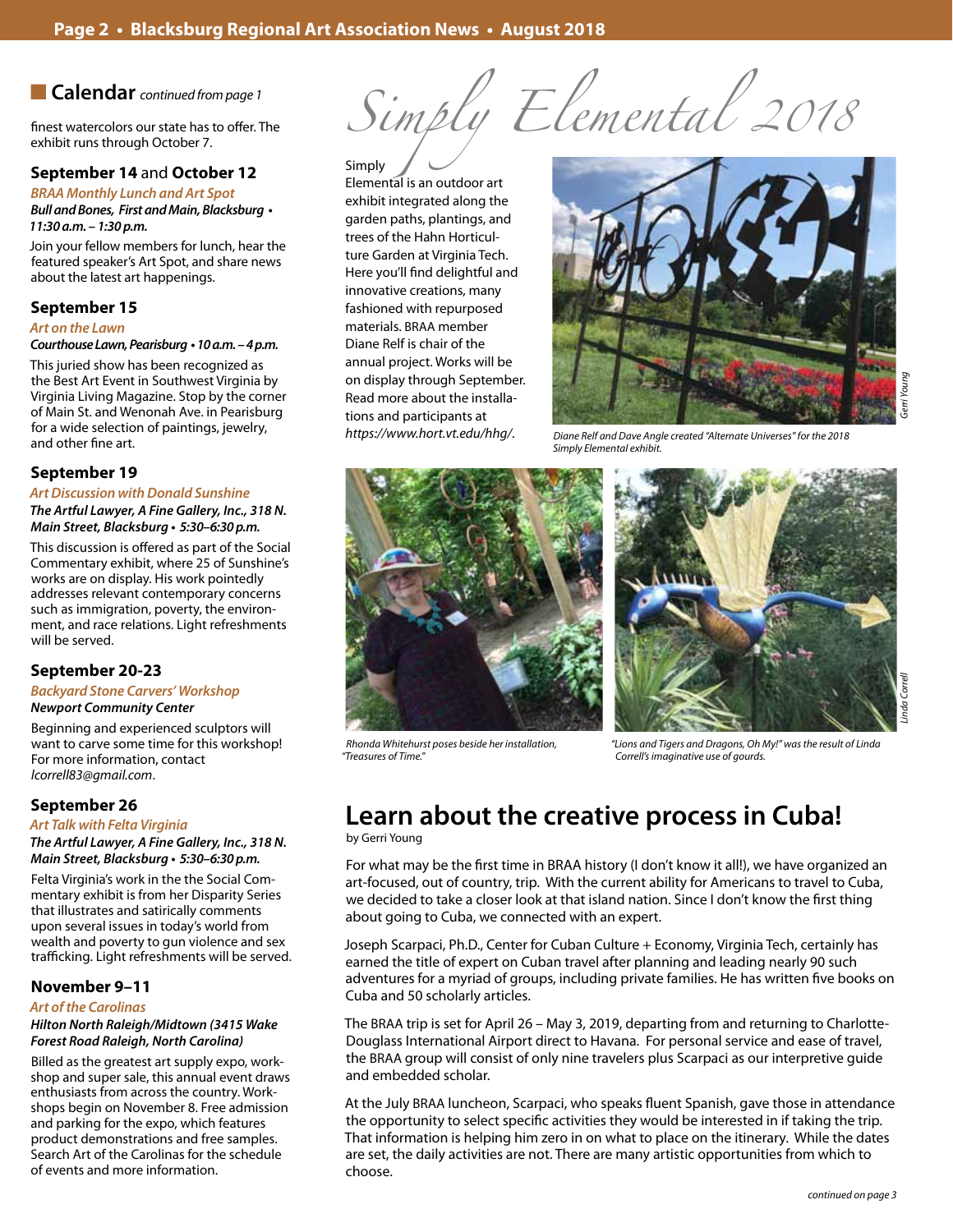n **Calendar** *continued from page 1*

finest watercolors our state has to offer. The exhibit runs through October 7.

#### **September 14** and **October 12**

**BRAA Monthly Lunch and Art Spot Bull and Bones, First and Main, Blacksburg • 11:30 a.m. – 1:30 p.m.**

Join your fellow members for lunch, hear the featured speaker's Art Spot, and share news about the latest art happenings.

#### **September 15**

#### **Art on the Lawn**

#### **Courthouse Lawn, Pearisburg • 10 a.m. – 4 p.m.**

This juried show has been recognized as the Best Art Event in Southwest Virginia by Virginia Living Magazine. Stop by the corner of Main St. and Wenonah Ave. in Pearisburg for a wide selection of paintings, jewelry, and other fine art.

#### **September 19**

## **Art Discussion with Donald Sunshine**

*The Artful Lawyer, A Fine Gallery, Inc., 318 N. Main Street, Blacksburg* **• 5:30–6:30 p.m.**

This discussion is offered as part of the Social Commentary exhibit, where 25 of Sunshine's works are on display. His work pointedly addresses relevant contemporary concerns such as immigration, poverty, the environment, and race relations. Light refreshments will be served.

#### **September 20-23**

#### **Backyard Stone Carvers' Workshop Newport Community Center**

Beginning and experienced sculptors will want to carve some time for this workshop! For more information, contact *lcorrell83@gmail.com*.

#### **September 26**

#### **Art Talk with Felta Virginia**

*The Artful Lawyer, A Fine Gallery, Inc., 318 N. Main Street, Blacksburg* **• 5:30–6:30 p.m.**

Felta Virginia's work in the the Social Commentary exhibit is from her Disparity Series that illustrates and satirically comments upon several issues in today's world from wealth and poverty to gun violence and sex trafficking. Light refreshments will be served.

#### **November 9–11**

#### **Art of the Carolinas**

#### **Hilton North Raleigh/Midtown (3415 Wake Forest Road Raleigh, North Carolina)**

Billed as the greatest art supply expo, workshop and super sale, this annual event draws enthusiasts from across the country. Workshops begin on November 8. Free admission and parking for the expo, which features product demonstrations and free samples. Search Art of the Carolinas for the schedule of events and more information.

*Simply Elemental 2018*

Simply Elemental is an outdoor art exhibit integrated along the garden paths, plantings, and trees of the Hahn Horticulture Garden at Virginia Tech. Here you'll find delightful and innovative creations, many fashioned with repurposed materials. BRAA member Diane Relf is chair of the annual project. Works will be on display through September. Read more about the installations and participants at *https://www.hort.vt.edu/hhg/*.



*Diane Relf and Dave Angle created "Alternate Universes" for the 2018 Simply Elemental exhibit.*





*Rhonda Whitehurst poses beside her installation, "Treasures of Time."*

*"Lions and Tigers and Dragons, Oh My!" was the result of Linda Correll's imaginative use of gourds.*

# **Learn about the creative process in Cuba!**

by Gerri Young

For what may be the first time in BRAA history (I don't know it all!), we have organized an art-focused, out of country, trip. With the current ability for Americans to travel to Cuba, we decided to take a closer look at that island nation. Since I don't know the first thing about going to Cuba, we connected with an expert.

Joseph Scarpaci, Ph.D., Center for Cuban Culture + Economy, Virginia Tech, certainly has earned the title of expert on Cuban travel after planning and leading nearly 90 such adventures for a myriad of groups, including private families. He has written five books on Cuba and 50 scholarly articles.

The BRAA trip is set for April 26 – May 3, 2019, departing from and returning to Charlotte-Douglass International Airport direct to Havana. For personal service and ease of travel, the BRAA group will consist of only nine travelers plus Scarpaci as our interpretive guide and embedded scholar.

At the July BRAA luncheon, Scarpaci, who speaks fluent Spanish, gave those in attendance the opportunity to select specific activities they would be interested in if taking the trip. That information is helping him zero in on what to place on the itinerary. While the dates are set, the daily activities are not. There are many artistic opportunities from which to choose.

*Linda Correll*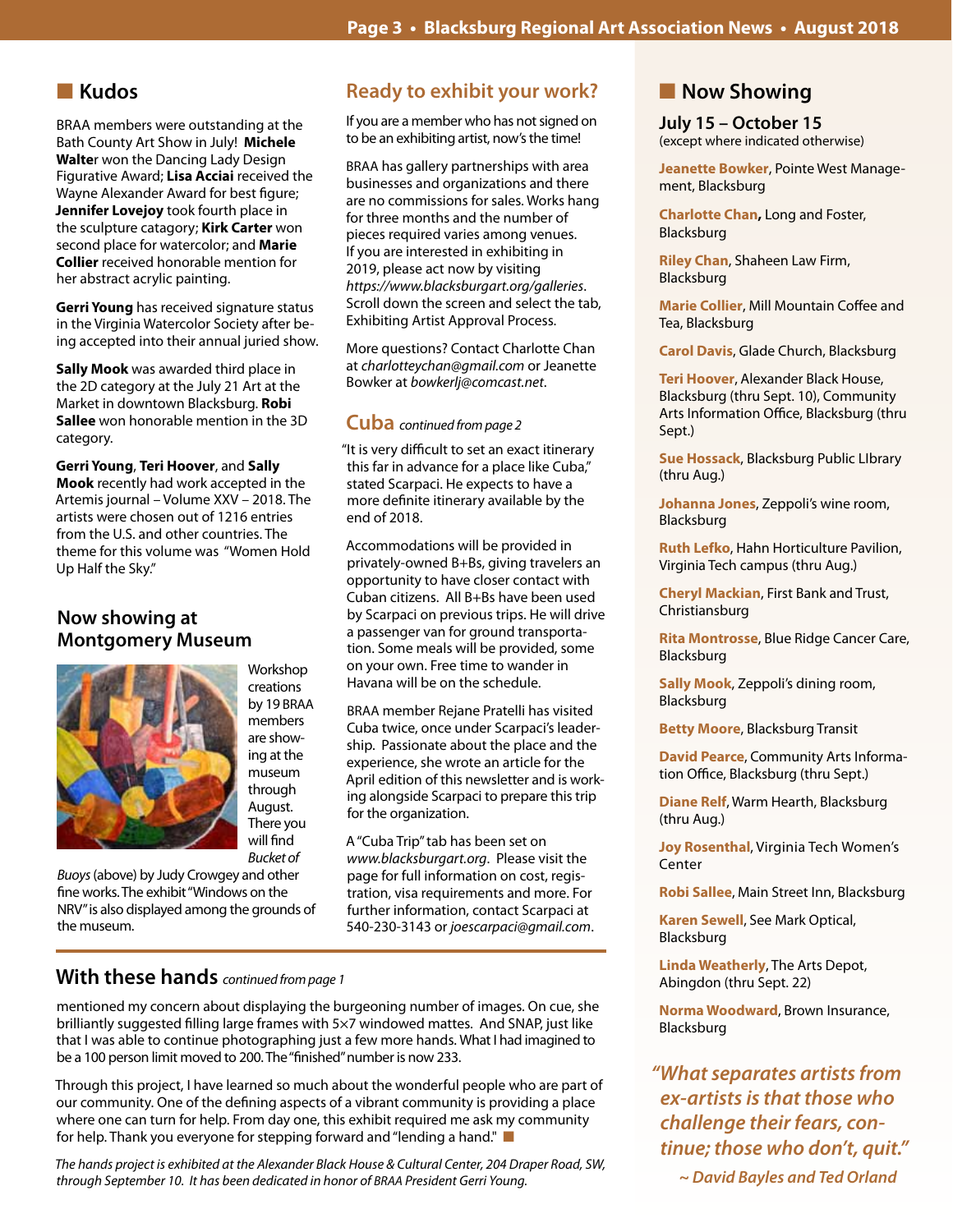# **n** Kudos

BRAA members were outstanding at the Bath County Art Show in July! **Michele Walte**r won the Dancing Lady Design Figurative Award; **Lisa Acciai** received the Wayne Alexander Award for best figure; **Jennifer Lovejoy** took fourth place in the sculpture catagory; **Kirk Carter** won second place for watercolor; and **Marie Collier** received honorable mention for her abstract acrylic painting.

**Gerri Young** has received signature status in the Virginia Watercolor Society after being accepted into their annual juried show.

**Sally Mook** was awarded third place in the 2D category at the July 21 Art at the Market in downtown Blacksburg. **Robi Sallee** won honorable mention in the 3D category.

**Gerri Young**, **Teri Hoover**, and **Sally Mook** recently had work accepted in the Artemis journal – Volume XXV – 2018. The artists were chosen out of 1216 entries from the U.S. and other countries. The theme for this volume was "Women Hold Up Half the Sky."

## **Now showing at Montgomery Museum**



creations by 19 BRAA members are showing at the museum through August. There you will find *Bucket of* 

Workshop

*Buoys* (above) by Judy Crowgey and other fine works. The exhibit "Windows on the NRV" is also displayed among the grounds of the museum.

# **Ready to exhibit your work?**

If you are a member who has not signed on to be an exhibiting artist, now's the time!

BRAA has gallery partnerships with area businesses and organizations and there are no commissions for sales. Works hang for three months and the number of pieces required varies among venues. If you are interested in exhibiting in 2019, please act now by visiting *https://www.blacksburgart.org/galleries*. Scroll down the screen and select the tab, Exhibiting Artist Approval Process.

More questions? Contact Charlotte Chan at *charlotteychan@gmail.com* or Jeanette Bowker at *bowkerlj@comcast.net*.

# **Cuba** *continued from page 2*

"It is very difficult to set an exact itinerary this far in advance for a place like Cuba," stated Scarpaci. He expects to have a more definite itinerary available by the end of 2018.

Accommodations will be provided in privately-owned B+Bs, giving travelers an opportunity to have closer contact with Cuban citizens. All B+Bs have been used by Scarpaci on previous trips. He will drive a passenger van for ground transportation. Some meals will be provided, some on your own. Free time to wander in Havana will be on the schedule.

BRAA member Rejane Pratelli has visited Cuba twice, once under Scarpaci's leadership. Passionate about the place and the experience, she wrote an article for the April edition of this newsletter and is working alongside Scarpaci to prepare this trip for the organization.

A "Cuba Trip" tab has been set on *www.blacksburgart.org*. Please visit the page for full information on cost, registration, visa requirements and more. For further information, contact Scarpaci at 540-230-3143 or *joescarpaci@gmail.com*.

## **With these hands** *continued from page 1*

mentioned my concern about displaying the burgeoning number of images. On cue, she brilliantly suggested filling large frames with 5×7 windowed mattes. And SNAP, just like that I was able to continue photographing just a few more hands. What I had imagined to be a 100 person limit moved to 200. The "finished" number is now 233.

Through this project, I have learned so much about the wonderful people who are part of our community. One of the defining aspects of a vibrant community is providing a place where one can turn for help. From day one, this exhibit required me ask my community for help. Thank you everyone for stepping forward and "lending a hand."

*The hands project is exhibited at the Alexander Black House & Cultural Center, 204 Draper Road, SW, through September 10. It has been dedicated in honor of BRAA President Gerri Young.*

# **Now Showing**

# **July 15 – October 15**

(except where indicated otherwise)

**Jeanette Bowker**, Pointe West Management, Blacksburg

**Charlotte Chan,** Long and Foster, Blacksburg

**Riley Chan**, Shaheen Law Firm, Blacksburg

**Marie Collier**, Mill Mountain Coffee and Tea, Blacksburg

**Carol Davis**, Glade Church, Blacksburg

**Teri Hoover**, Alexander Black House, Blacksburg (thru Sept. 10), Community Arts Information Office, Blacksburg (thru Sept.)

**Sue Hossack**, Blacksburg Public LIbrary (thru Aug.)

**Johanna Jones**, Zeppoli's wine room, Blacksburg

**Ruth Lefko**, Hahn Horticulture Pavilion, Virginia Tech campus (thru Aug.)

**Cheryl Mackian**, First Bank and Trust, Christiansburg

**Rita Montrosse**, Blue Ridge Cancer Care, Blacksburg

**Sally Mook**, Zeppoli's dining room, Blacksburg

**Betty Moore**, Blacksburg Transit

**David Pearce**, Community Arts Information Office, Blacksburg (thru Sept.)

**Diane Relf**, Warm Hearth, Blacksburg (thru Aug.)

**Joy Rosenthal**, Virginia Tech Women's Center

**Robi Sallee**, Main Street Inn, Blacksburg

**Karen Sewell**, See Mark Optical, Blacksburg

**Linda Weatherly**, The Arts Depot, Abingdon (thru Sept. 22)

**Norma Woodward**, Brown Insurance, Blacksburg

**"What separates artists from ex-artists is that those who challenge their fears, con****tinue; those who don't, quit."** 

 **~ David Bayles and Ted Orland**